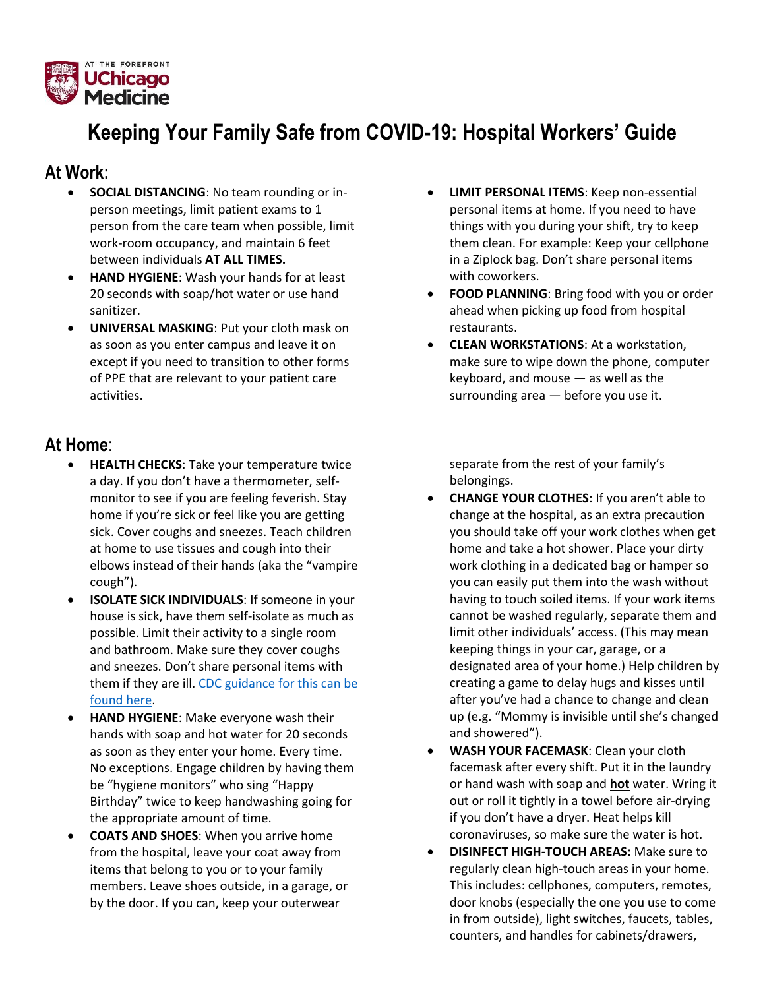

## **Keeping Your Family Safe from COVID-19: Hospital Workers' Guide**

## **At Work:**

- **SOCIAL DISTANCING**: No team rounding or inperson meetings, limit patient exams to 1 person from the care team when possible, limit work-room occupancy, and maintain 6 feet between individuals **AT ALL TIMES.**
- **HAND HYGIENE**: Wash your hands for at least 20 seconds with soap/hot water or use hand sanitizer.
- **UNIVERSAL MASKING**: Put your cloth mask on as soon as you enter campus and leave it on except if you need to transition to other forms of PPE that are relevant to your patient care activities.

## **At Home**:

- **HEALTH CHECKS**: Take your temperature twice a day. If you don't have a thermometer, selfmonitor to see if you are feeling feverish. Stay home if you're sick or feel like you are getting sick. Cover coughs and sneezes. Teach children at home to use tissues and cough into their elbows instead of their hands (aka the "vampire cough").
- **ISOLATE SICK INDIVIDUALS**: If someone in your house is sick, have them self-isolate as much as possible. Limit their activity to a single room and bathroom. Make sure they cover coughs and sneezes. Don't share personal items with them if they are ill. [CDC guidance for this can be](https://www.cdc.gov/coronavirus/2019-ncov/hcp/guidance-prevent-spread.html)  [found here.](https://www.cdc.gov/coronavirus/2019-ncov/hcp/guidance-prevent-spread.html)
- **HAND HYGIENE**: Make everyone wash their hands with soap and hot water for 20 seconds as soon as they enter your home. Every time. No exceptions. Engage children by having them be "hygiene monitors" who sing "Happy Birthday" twice to keep handwashing going for the appropriate amount of time.
- **COATS AND SHOES**: When you arrive home from the hospital, leave your coat away from items that belong to you or to your family members. Leave shoes outside, in a garage, or by the door. If you can, keep your outerwear
- **LIMIT PERSONAL ITEMS**: Keep non-essential personal items at home. If you need to have things with you during your shift, try to keep them clean. For example: Keep your cellphone in a Ziplock bag. Don't share personal items with coworkers.
- **FOOD PLANNING**: Bring food with you or order ahead when picking up food from hospital restaurants.
- **CLEAN WORKSTATIONS**: At a workstation, make sure to wipe down the phone, computer keyboard, and mouse — as well as the surrounding area — before you use it.

separate from the rest of your family's belongings.

- **CHANGE YOUR CLOTHES**: If you aren't able to change at the hospital, as an extra precaution you should take off your work clothes when get home and take a hot shower. Place your dirty work clothing in a dedicated bag or hamper so you can easily put them into the wash without having to touch soiled items. If your work items cannot be washed regularly, separate them and limit other individuals' access. (This may mean keeping things in your car, garage, or a designated area of your home.) Help children by creating a game to delay hugs and kisses until after you've had a chance to change and clean up (e.g. "Mommy is invisible until she's changed and showered").
- **WASH YOUR FACEMASK**: Clean your cloth facemask after every shift. Put it in the laundry or hand wash with soap and **hot** water. Wring it out or roll it tightly in a towel before air-drying if you don't have a dryer. Heat helps kill coronaviruses, so make sure the water is hot.
- **DISINFECT HIGH-TOUCH AREAS:** Make sure to regularly clean high-touch areas in your home. This includes: cellphones, computers, remotes, door knobs (especially the one you use to come in from outside), light switches, faucets, tables, counters, and handles for cabinets/drawers,